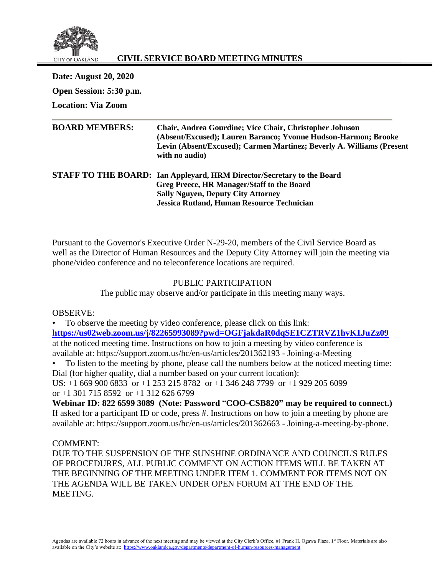

# **CIVIL SERVICE BOARD MEETING MINUTES**

**Date: August 20, 2020 Open Session: 5:30 p.m. Location: Via Zoom**

| <b>BOARD MEMBERS:</b> | <b>Chair, Andrea Gourdine; Vice Chair, Christopher Johnson</b><br>(Absent/Excused); Lauren Baranco; Yvonne Hudson-Harmon; Brooke<br>Levin (Absent/Excused); Carmen Martinez; Beverly A. Williams (Present<br>with no audio) |
|-----------------------|-----------------------------------------------------------------------------------------------------------------------------------------------------------------------------------------------------------------------------|
|                       | <b>STAFF TO THE BOARD:</b> Ian Appleyard, HRM Director/Secretary to the Board                                                                                                                                               |
|                       | Greg Preece, HR Manager/Staff to the Board                                                                                                                                                                                  |
|                       | <b>Sally Nguyen, Deputy City Attorney</b>                                                                                                                                                                                   |
|                       | <b>Jessica Rutland, Human Resource Technician</b>                                                                                                                                                                           |

Pursuant to the Governor's Executive Order N-29-20, members of the Civil Service Board as well as the Director of Human Resources and the Deputy City Attorney will join the meeting via phone/video conference and no teleconference locations are required.

## PUBLIC PARTICIPATION

The public may observe and/or participate in this meeting many ways.

OBSERVE:

• To observe the meeting by video conference, please click on this link: **<https://us02web.zoom.us/j/82265993089?pwd=OGFjakdaR0dqSE1CZTRVZ1hvK1JuZz09>** at the noticed meeting time. Instructions on how to join a meeting by video conference is available at: https://support.zoom.us/hc/en-us/articles/201362193 - Joining-a-Meeting

• To listen to the meeting by phone, please call the numbers below at the noticed meeting time: Dial (for higher quality, dial a number based on your current location):

US: +1 669 900 6833 or +1 253 215 8782 or +1 346 248 7799 or +1 929 205 6099 or  $+1$  301 715 8592 or  $+1$  312 626 6799

**Webinar ID: 822 6599 3089 (Note: Password** "**COO-CSB820" may be required to connect.)** If asked for a participant ID or code, press #. Instructions on how to join a meeting by phone are available at: https://support.zoom.us/hc/en-us/articles/201362663 - Joining-a-meeting-by-phone.

## COMMENT:

DUE TO THE SUSPENSION OF THE SUNSHINE ORDINANCE AND COUNCIL'S RULES OF PROCEDURES, ALL PUBLIC COMMENT ON ACTION ITEMS WILL BE TAKEN AT THE BEGINNING OF THE MEETING UNDER ITEM 1. COMMENT FOR ITEMS NOT ON THE AGENDA WILL BE TAKEN UNDER OPEN FORUM AT THE END OF THE MEETING.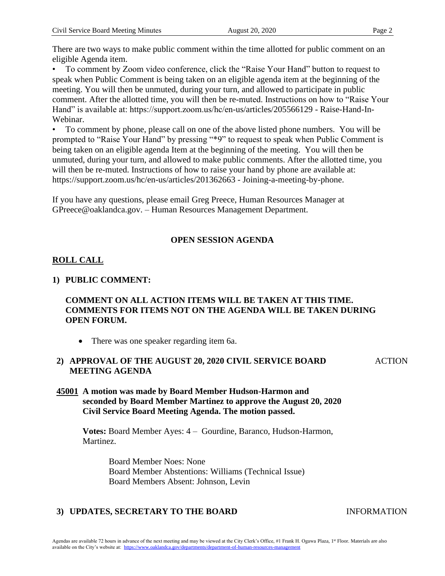There are two ways to make public comment within the time allotted for public comment on an eligible Agenda item.

• To comment by Zoom video conference, click the "Raise Your Hand" button to request to speak when Public Comment is being taken on an eligible agenda item at the beginning of the meeting. You will then be unmuted, during your turn, and allowed to participate in public comment. After the allotted time, you will then be re-muted. Instructions on how to "Raise Your Hand" is available at: https://support.zoom.us/hc/en-us/articles/205566129 - Raise-Hand-In-Webinar.

• To comment by phone, please call on one of the above listed phone numbers. You will be prompted to "Raise Your Hand" by pressing "\*9" to request to speak when Public Comment is being taken on an eligible agenda Item at the beginning of the meeting. You will then be unmuted, during your turn, and allowed to make public comments. After the allotted time, you will then be re-muted. Instructions of how to raise your hand by phone are available at: https://support.zoom.us/hc/en-us/articles/201362663 - Joining-a-meeting-by-phone.

If you have any questions, please email Greg Preece, Human Resources Manager at GPreece@oaklandca.gov. – Human Resources Management Department.

# **OPEN SESSION AGENDA**

# **ROLL CALL**

# **1) PUBLIC COMMENT:**

# **COMMENT ON ALL ACTION ITEMS WILL BE TAKEN AT THIS TIME. COMMENTS FOR ITEMS NOT ON THE AGENDA WILL BE TAKEN DURING OPEN FORUM.**

• There was one speaker regarding item 6a.

#### **2) APPROVAL OF THE AUGUST 20, 2020 CIVIL SERVICE BOARD MEETING AGENDA ACTION**

## **45001 A motion was made by Board Member Hudson-Harmon and seconded by Board Member Martinez to approve the August 20, 2020 Civil Service Board Meeting Agenda. The motion passed.**

**Votes:** Board Member Ayes: 4 – Gourdine, Baranco, Hudson-Harmon, Martinez.

> Board Member Noes: None Board Member Abstentions: Williams (Technical Issue) Board Members Absent: Johnson, Levin

# **3) UPDATES, SECRETARY TO THE BOARD** INFORMATION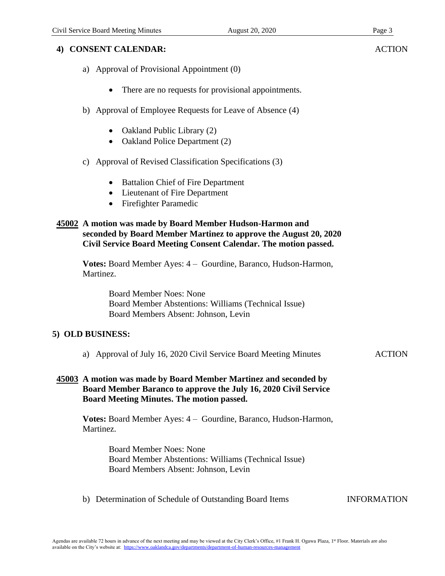# **4) CONSENT CALENDAR:**

- a) Approval of Provisional Appointment (0)
	- There are no requests for provisional appointments.
- b) Approval of Employee Requests for Leave of Absence (4)
	- Oakland Public Library (2)
	- Oakland Police Department (2)
- c) Approval of Revised Classification Specifications (3)
	- **Battalion Chief of Fire Department**
	- Lieutenant of Fire Department
	- Firefighter Paramedic

## **45002 A motion was made by Board Member Hudson-Harmon and seconded by Board Member Martinez to approve the August 20, 2020 Civil Service Board Meeting Consent Calendar. The motion passed.**

**Votes:** Board Member Ayes: 4 – Gourdine, Baranco, Hudson-Harmon, Martinez.

> Board Member Noes: None Board Member Abstentions: Williams (Technical Issue) Board Members Absent: Johnson, Levin

## **5) OLD BUSINESS:**

- a) Approval of July 16, 2020 Civil Service Board Meeting Minutes ACTION
- **45003 A motion was made by Board Member Martinez and seconded by Board Member Baranco to approve the July 16, 2020 Civil Service Board Meeting Minutes. The motion passed.**

**Votes:** Board Member Ayes: 4 – Gourdine, Baranco, Hudson-Harmon, Martinez.

> Board Member Noes: None Board Member Abstentions: Williams (Technical Issue) Board Members Absent: Johnson, Levin

b) Determination of Schedule of Outstanding Board Items INFORMATION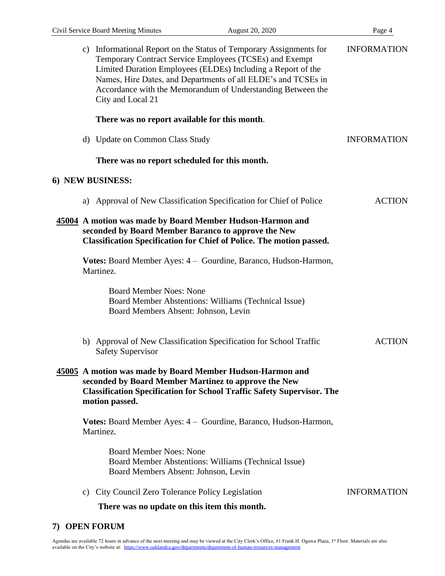|                  |                                                                                                                                                                                                 | c) Informational Report on the Status of Temporary Assignments for<br>Temporary Contract Service Employees (TCSEs) and Exempt<br>Limited Duration Employees (ELDEs) Including a Report of the<br>Names, Hire Dates, and Departments of all ELDE's and TCSEs in<br>Accordance with the Memorandum of Understanding Between the<br>City and Local 21 | <b>INFORMATION</b> |  |
|------------------|-------------------------------------------------------------------------------------------------------------------------------------------------------------------------------------------------|----------------------------------------------------------------------------------------------------------------------------------------------------------------------------------------------------------------------------------------------------------------------------------------------------------------------------------------------------|--------------------|--|
|                  |                                                                                                                                                                                                 | There was no report available for this month.                                                                                                                                                                                                                                                                                                      |                    |  |
|                  |                                                                                                                                                                                                 | d) Update on Common Class Study                                                                                                                                                                                                                                                                                                                    | <b>INFORMATION</b> |  |
|                  |                                                                                                                                                                                                 | There was no report scheduled for this month.                                                                                                                                                                                                                                                                                                      |                    |  |
| 6) NEW BUSINESS: |                                                                                                                                                                                                 |                                                                                                                                                                                                                                                                                                                                                    |                    |  |
|                  |                                                                                                                                                                                                 | a) Approval of New Classification Specification for Chief of Police                                                                                                                                                                                                                                                                                | <b>ACTION</b>      |  |
|                  | 45004 A motion was made by Board Member Hudson-Harmon and<br>seconded by Board Member Baranco to approve the New<br><b>Classification Specification for Chief of Police. The motion passed.</b> |                                                                                                                                                                                                                                                                                                                                                    |                    |  |
|                  |                                                                                                                                                                                                 | Votes: Board Member Ayes: 4 – Gourdine, Baranco, Hudson-Harmon,<br>Martinez.                                                                                                                                                                                                                                                                       |                    |  |
|                  |                                                                                                                                                                                                 | <b>Board Member Noes: None</b><br>Board Member Abstentions: Williams (Technical Issue)<br>Board Members Absent: Johnson, Levin                                                                                                                                                                                                                     |                    |  |
|                  |                                                                                                                                                                                                 | b) Approval of New Classification Specification for School Traffic<br><b>Safety Supervisor</b>                                                                                                                                                                                                                                                     | <b>ACTION</b>      |  |
|                  |                                                                                                                                                                                                 | 45005 A motion was made by Board Member Hudson-Harmon and<br>seconded by Board Member Martinez to approve the New<br><b>Classification Specification for School Traffic Safety Supervisor. The</b><br>motion passed.                                                                                                                               |                    |  |
|                  |                                                                                                                                                                                                 | Votes: Board Member Ayes: 4 – Gourdine, Baranco, Hudson-Harmon,<br>Martinez.                                                                                                                                                                                                                                                                       |                    |  |
|                  |                                                                                                                                                                                                 | <b>Board Member Noes: None</b><br>Board Member Abstentions: Williams (Technical Issue)<br>Board Members Absent: Johnson, Levin                                                                                                                                                                                                                     |                    |  |
|                  | C)                                                                                                                                                                                              | City Council Zero Tolerance Policy Legislation                                                                                                                                                                                                                                                                                                     | <b>INFORMATION</b> |  |
|                  |                                                                                                                                                                                                 | There was no update on this item this month.                                                                                                                                                                                                                                                                                                       |                    |  |
|                  |                                                                                                                                                                                                 |                                                                                                                                                                                                                                                                                                                                                    |                    |  |

## **7) OPEN FORUM**